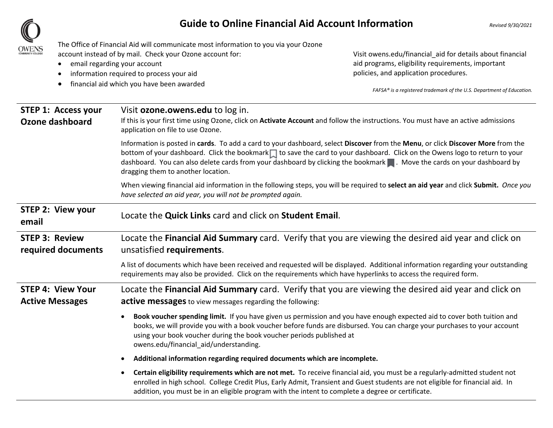## **Guide to Online Financial Aid Account Information**  *Revised 9/30/2021*



The Office of Financial Aid will communicate most information to you via your Ozone account instead of by mail. Check your Ozone account for:

- $\bullet$ email regarding your account
- $\bullet$ information required to process your aid
- $\bullet$ financial aid which you have been awarded

Visit owens.edu/financial\_aid for details about financial aid programs, eligibility requirements, important policies, and application procedures.

*FAFSA® is a registered trademark of the U.S. Department of Education.*

| <b>STEP 1: Access your</b><br>Ozone dashboard      | Visit <b>ozone.owens.edu</b> to log in.<br>If this is your first time using Ozone, click on Activate Account and follow the instructions. You must have an active admissions<br>application on file to use Ozone.                                                                                                                                                                                                              |
|----------------------------------------------------|--------------------------------------------------------------------------------------------------------------------------------------------------------------------------------------------------------------------------------------------------------------------------------------------------------------------------------------------------------------------------------------------------------------------------------|
|                                                    | Information is posted in cards. To add a card to your dashboard, select Discover from the Menu, or click Discover More from the<br>bottom of your dashboard. Click the bookmark to save the card to your dashboard. Click on the Owens logo to return to your<br>dashboard. You can also delete cards from your dashboard by clicking the bookmark . Move the cards on your dashboard by<br>dragging them to another location. |
|                                                    | When viewing financial aid information in the following steps, you will be required to select an aid year and click Submit. Once you<br>have selected an aid year, you will not be prompted again.                                                                                                                                                                                                                             |
| <b>STEP 2: View your</b><br>email                  | Locate the Quick Links card and click on Student Email.                                                                                                                                                                                                                                                                                                                                                                        |
| <b>STEP 3: Review</b><br>required documents        | Locate the Financial Aid Summary card. Verify that you are viewing the desired aid year and click on<br>unsatisfied requirements.                                                                                                                                                                                                                                                                                              |
|                                                    | A list of documents which have been received and requested will be displayed. Additional information regarding your outstanding<br>requirements may also be provided. Click on the requirements which have hyperlinks to access the required form.                                                                                                                                                                             |
| <b>STEP 4: View Your</b><br><b>Active Messages</b> | Locate the Financial Aid Summary card. Verify that you are viewing the desired aid year and click on<br><b>active messages</b> to view messages regarding the following:                                                                                                                                                                                                                                                       |
|                                                    | Book voucher spending limit. If you have given us permission and you have enough expected aid to cover both tuition and<br>$\bullet$<br>books, we will provide you with a book voucher before funds are disbursed. You can charge your purchases to your account<br>using your book voucher during the book voucher periods published at<br>owens.edu/financial_aid/understanding.                                             |
|                                                    | Additional information regarding required documents which are incomplete.                                                                                                                                                                                                                                                                                                                                                      |
|                                                    | Certain eligibility requirements which are not met. To receive financial aid, you must be a regularly-admitted student not<br>$\bullet$<br>enrolled in high school. College Credit Plus, Early Admit, Transient and Guest students are not eligible for financial aid. In<br>addition, you must be in an eligible program with the intent to complete a degree or certificate.                                                 |